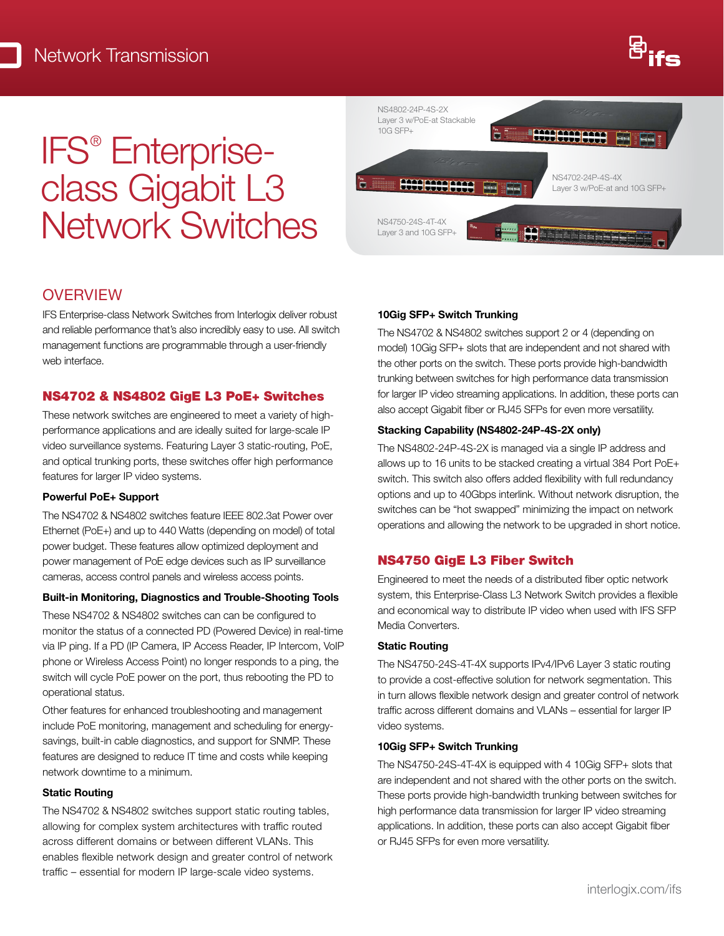# IFS® Enterpriseclass Gigabit L3 Network Switches



## **OVERVIEW**

IFS Enterprise-class Network Switches from Interlogix deliver robust and reliable performance that's also incredibly easy to use. All switch management functions are programmable through a user-friendly web interface.

#### NS4702 & NS4802 GigE L3 PoE+ Switches

These network switches are engineered to meet a variety of highperformance applications and are ideally suited for large-scale IP video surveillance systems. Featuring Layer 3 static-routing, PoE, and optical trunking ports, these switches offer high performance features for larger IP video systems.

#### Powerful PoE+ Support

The NS4702 & NS4802 switches feature IEEE 802.3at Power over Ethernet (PoE+) and up to 440 Watts (depending on model) of total power budget. These features allow optimized deployment and power management of PoE edge devices such as IP surveillance cameras, access control panels and wireless access points.

#### Built-in Monitoring, Diagnostics and Trouble-Shooting Tools

These NS4702 & NS4802 switches can can be configured to monitor the status of a connected PD (Powered Device) in real-time via IP ping. If a PD (IP Camera, IP Access Reader, IP Intercom, VoIP phone or Wireless Access Point) no longer responds to a ping, the switch will cycle PoE power on the port, thus rebooting the PD to operational status.

Other features for enhanced troubleshooting and management include PoE monitoring, management and scheduling for energysavings, built-in cable diagnostics, and support for SNMP. These features are designed to reduce IT time and costs while keeping network downtime to a minimum.

#### Static Routing

The NS4702 & NS4802 switches support static routing tables, allowing for complex system architectures with traffic routed across different domains or between different VLANs. This enables flexible network design and greater control of network traffic – essential for modern IP large-scale video systems.

#### 10Gig SFP+ Switch Trunking

The NS4702 & NS4802 switches support 2 or 4 (depending on model) 10Gig SFP+ slots that are independent and not shared with the other ports on the switch. These ports provide high-bandwidth trunking between switches for high performance data transmission for larger IP video streaming applications. In addition, these ports can also accept Gigabit fiber or RJ45 SFPs for even more versatility.

#### Stacking Capability (NS4802-24P-4S-2X only)

The NS4802-24P-4S-2X is managed via a single IP address and allows up to 16 units to be stacked creating a virtual 384 Port PoE+ switch. This switch also offers added flexibility with full redundancy options and up to 40Gbps interlink. Without network disruption, the switches can be "hot swapped" minimizing the impact on network operations and allowing the network to be upgraded in short notice.

#### NS4750 GigE L3 Fiber Switch

Engineered to meet the needs of a distributed fiber optic network system, this Enterprise-Class L3 Network Switch provides a flexible and economical way to distribute IP video when used with IFS SFP Media Converters.

#### Static Routing

The NS4750-24S-4T-4X supports IPv4/IPv6 Layer 3 static routing to provide a cost-effective solution for network segmentation. This in turn allows flexible network design and greater control of network traffic across different domains and VLANs – essential for larger IP video systems.

#### 10Gig SFP+ Switch Trunking

The NS4750-24S-4T-4X is equipped with 4 10Gig SFP+ slots that are independent and not shared with the other ports on the switch. These ports provide high-bandwidth trunking between switches for high performance data transmission for larger IP video streaming applications. In addition, these ports can also accept Gigabit fiber or RJ45 SFPs for even more versatility.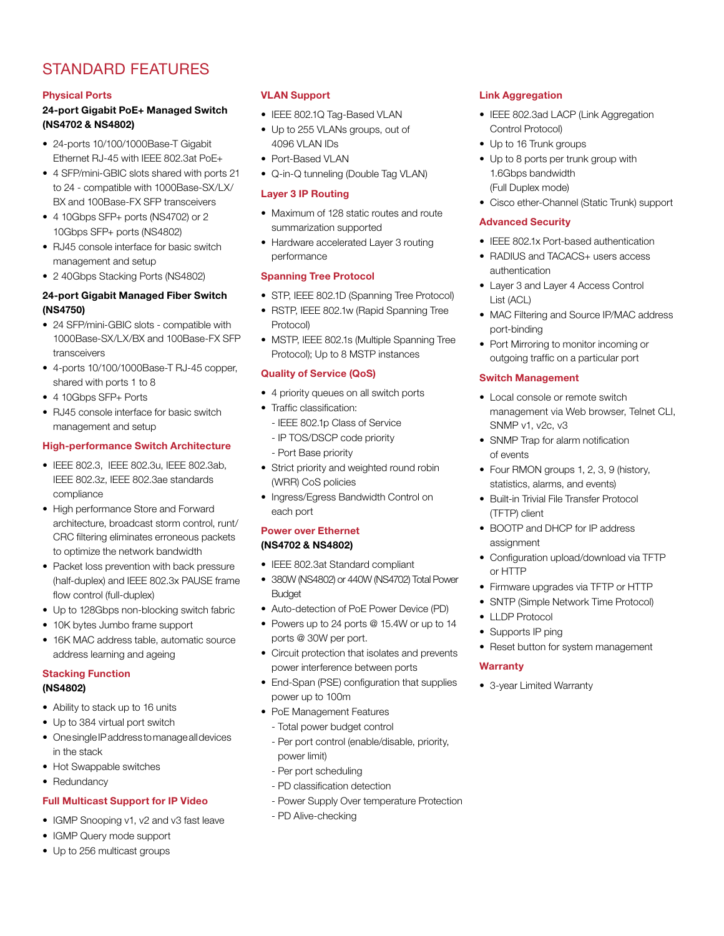# STANDARD FEATURES

#### Physical Ports

#### 24-port Gigabit PoE+ Managed Switch (NS4702 & NS4802)

- 24-ports 10/100/1000Base-T Gigabit Ethernet RJ-45 with IEEE 802.3at PoE+
- 4 SFP/mini-GBIC slots shared with ports 21 to 24 - compatible with 1000Base-SX/LX/ BX and 100Base-FX SFP transceivers
- 4 10Gbps SFP+ ports (NS4702) or 2 10Gbps SFP+ ports (NS4802)
- RJ45 console interface for basic switch management and setup
- 2 40Gbps Stacking Ports (NS4802)

#### 24-port Gigabit Managed Fiber Switch (NS4750)

- 24 SFP/mini-GBIC slots compatible with 1000Base-SX/LX/BX and 100Base-FX SFP transceivers
- 4-ports 10/100/1000Base-T RJ-45 copper, shared with ports 1 to 8
- 4 10Gbps SFP+ Ports
- RJ45 console interface for basic switch management and setup

#### High-performance Switch Architecture

- IEEE 802.3, IEEE 802.3u, IEEE 802.3ab, IEEE 802.3z, IEEE 802.3ae standards compliance
- High performance Store and Forward architecture, broadcast storm control, runt/ CRC filtering eliminates erroneous packets to optimize the network bandwidth
- Packet loss prevention with back pressure (half-duplex) and IEEE 802.3x PAUSE frame flow control (full-duplex)
- Up to 128Gbps non-blocking switch fabric
- 10K bytes Jumbo frame support
- 16K MAC address table, automatic source address learning and ageing

#### Stacking Function (NS4802)

- Ability to stack up to 16 units
- Up to 384 virtual port switch
- One single IP address to manage all devices in the stack
- Hot Swappable switches
- Redundancy

#### Full Multicast Support for IP Video

- IGMP Snooping v1, v2 and v3 fast leave
- IGMP Query mode support
- Up to 256 multicast groups

#### VLAN Support

- IEEE 802.1Q Tag-Based VLAN
- Up to 255 VLANs groups, out of 4096 VLAN IDs
- Port-Based VLAN
- Q-in-Q tunneling (Double Tag VLAN)

#### Layer 3 IP Routing

- Maximum of 128 static routes and route summarization supported
- Hardware accelerated Layer 3 routing performance

#### Spanning Tree Protocol

- STP, IEEE 802.1D (Spanning Tree Protocol)
- RSTP, IEEE 802.1w (Rapid Spanning Tree Protocol)
- MSTP, IEEE 802.1s (Multiple Spanning Tree Protocol); Up to 8 MSTP instances

#### Quality of Service (QoS)

- 4 priority queues on all switch ports
- Traffic classification:
	- IEEE 802.1p Class of Service
	- IP TOS/DSCP code priority
	- Port Base priority
- Strict priority and weighted round robin (WRR) CoS policies
- Ingress/Egress Bandwidth Control on each port

#### Power over Ethernet (NS4702 & NS4802)

- IEEE 802.3at Standard compliant
- 380W (NS4802) or 440W (NS4702) Total Power **Budget**
- Auto-detection of PoE Power Device (PD)
- Powers up to 24 ports @ 15.4W or up to 14 ports @ 30W per port.
- Circuit protection that isolates and prevents power interference between ports
- End-Span (PSE) configuration that supplies power up to 100m
- PoE Management Features
	- Total power budget control
	- Per port control (enable/disable, priority, power limit)
	- Per port scheduling
	- PD classification detection
	- Power Supply Over temperature Protection
	- PD Alive-checking

#### Link Aggregation

- IEEE 802.3ad LACP (Link Aggregation Control Protocol)
- Up to 16 Trunk groups
- Up to 8 ports per trunk group with 1.6Gbps bandwidth (Full Duplex mode)
- Cisco ether-Channel (Static Trunk) support

#### Advanced Security

- IEEE 802.1x Port-based authentication
- RADIUS and TACACS+ users access authentication
- Layer 3 and Layer 4 Access Control List (ACL)
- MAC Filtering and Source IP/MAC address port-binding
- Port Mirroring to monitor incoming or outgoing traffic on a particular port

#### Switch Management

- Local console or remote switch management via Web browser, Telnet CLI, SNMP v1, v2c, v3
- SNMP Trap for alarm notification of events
- Four RMON groups 1, 2, 3, 9 (history, statistics, alarms, and events)
- Built-in Trivial File Transfer Protocol (TFTP) client
- BOOTP and DHCP for IP address assignment
- Configuration upload/download via TFTP or HTTP
- Firmware upgrades via TFTP or HTTP
- SNTP (Simple Network Time Protocol)
- LLDP Protocol
- Supports IP ping
- Reset button for system management

#### **Warranty**

• 3-year Limited Warranty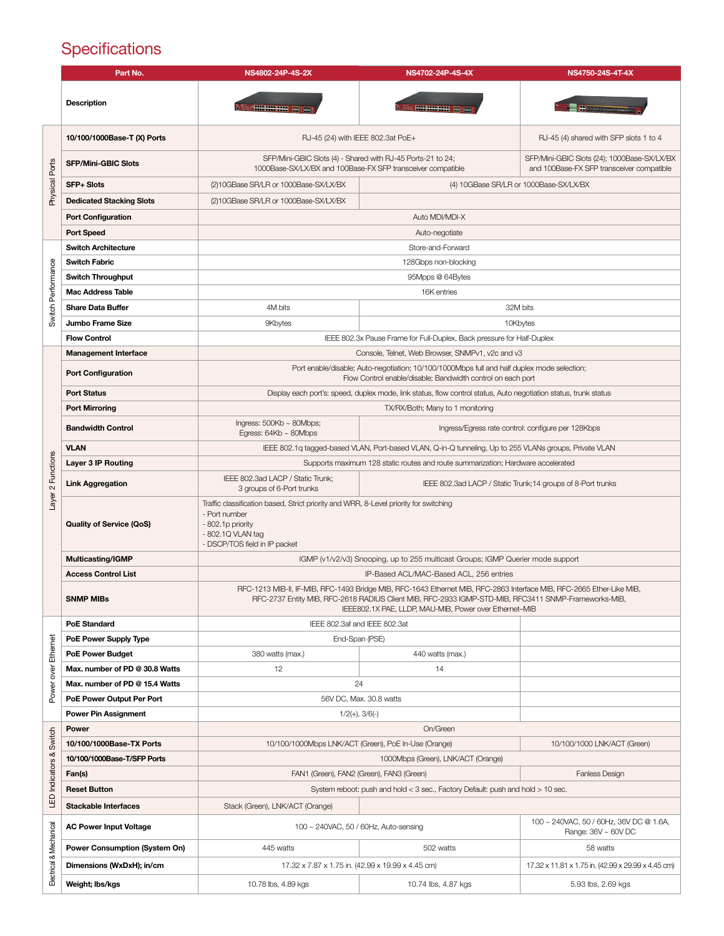# **Specifications**

|                         | Part No.                             | NS4802-24P-4S-2X                                                                                                                                                                                                                                                                        | NS4702-24P-4S-4X                                             | NS4750-24S-4T-4X                                                                         |  |
|-------------------------|--------------------------------------|-----------------------------------------------------------------------------------------------------------------------------------------------------------------------------------------------------------------------------------------------------------------------------------------|--------------------------------------------------------------|------------------------------------------------------------------------------------------|--|
|                         | <b>Description</b>                   | <b>ROOM HOME</b>                                                                                                                                                                                                                                                                        | <b>SHOW SHOW SHOW</b>                                        | <b>AND A CONSTRUCTION</b>                                                                |  |
|                         | 10/100/1000Base-T (X) Ports          | RJ-45 (24) with IEEE 802.3at PoE+                                                                                                                                                                                                                                                       |                                                              | RJ-45 (4) shared with SFP slots 1 to 4                                                   |  |
| Physical Ports          | <b>SFP/Mini-GBIC Slots</b>           | SFP/Mini-GBIC Slots (4) - Shared with RJ-45 Ports-21 to 24;<br>1000Base-SX/LX/BX and 100Base-FX SFP transceiver compatible                                                                                                                                                              |                                                              | SFP/Mini-GBIC Slots (24); 1000Base-SX/LX/BX<br>and 100Base-FX SFP transceiver compatible |  |
|                         | <b>SFP+ Slots</b>                    | (2)10GBase SR/LR or 1000Base-SX/LX/BX                                                                                                                                                                                                                                                   | (4) 10GBase SR/LR or 1000Base-SX/LX/BX                       |                                                                                          |  |
|                         | <b>Dedicated Stacking Slots</b>      | (2)10GBase SR/LR or 1000Base-SX/LX/BX                                                                                                                                                                                                                                                   |                                                              |                                                                                          |  |
|                         | <b>Port Configuration</b>            | Auto MDI/MDI-X                                                                                                                                                                                                                                                                          |                                                              |                                                                                          |  |
|                         | <b>Port Speed</b>                    | Auto-negotiate                                                                                                                                                                                                                                                                          |                                                              |                                                                                          |  |
|                         | <b>Switch Architecture</b>           | Store-and-Forward                                                                                                                                                                                                                                                                       |                                                              |                                                                                          |  |
|                         | <b>Switch Fabric</b>                 | 128Gbps non-blocking                                                                                                                                                                                                                                                                    |                                                              |                                                                                          |  |
| Switch Performance      | <b>Switch Throughput</b>             | 95Mpps @ 64Bytes                                                                                                                                                                                                                                                                        |                                                              |                                                                                          |  |
|                         | <b>Mac Address Table</b>             | 16K entries                                                                                                                                                                                                                                                                             |                                                              |                                                                                          |  |
|                         | <b>Share Data Buffer</b>             | 4M bits                                                                                                                                                                                                                                                                                 | 32M bits                                                     |                                                                                          |  |
|                         | Jumbo Frame Size                     | 9Kbytes                                                                                                                                                                                                                                                                                 | 10Kbytes                                                     |                                                                                          |  |
|                         | <b>Flow Control</b>                  | IEEE 802.3x Pause Frame for Full-Duplex, Back pressure for Half-Duplex                                                                                                                                                                                                                  |                                                              |                                                                                          |  |
|                         | <b>Management Interface</b>          | Console, Telnet, Web Browser, SNMPv1, v2c and v3                                                                                                                                                                                                                                        |                                                              |                                                                                          |  |
|                         | <b>Port Configuration</b>            | Port enable/disable; Auto-negotiation; 10/100/1000Mbps full and half duplex mode selection;<br>Flow Control enable/disable; Bandwidth control on each port                                                                                                                              |                                                              |                                                                                          |  |
|                         | <b>Port Status</b>                   | Display each port's: speed, duplex mode, link status, flow control status, Auto negotiation status, trunk status                                                                                                                                                                        |                                                              |                                                                                          |  |
|                         | <b>Port Mirroring</b>                |                                                                                                                                                                                                                                                                                         | TX/RX/Both; Many to 1 monitoring                             |                                                                                          |  |
|                         | <b>Bandwidth Control</b>             | Ingress: $500Kb \sim 80Mbps$ ;<br>Egress: $64Kb \sim 80Mbps$                                                                                                                                                                                                                            |                                                              | Ingress/Egress rate control: configure per 128Kbps                                       |  |
|                         | <b>VLAN</b>                          | IEEE 802.1q tagged-based VLAN, Port-based VLAN, Q-in-Q tunneling, Up to 255 VLANs groups, Private VLAN                                                                                                                                                                                  |                                                              |                                                                                          |  |
|                         | Layer 3 IP Routing                   | Supports maximum 128 static routes and route summarization; Hardware accelerated                                                                                                                                                                                                        |                                                              |                                                                                          |  |
| Layer 2 Functions       | <b>Link Aggregation</b>              | IEEE 802.3ad LACP / Static Trunk;<br>3 groups of 6-Port trunks                                                                                                                                                                                                                          | IEEE 802.3ad LACP / Static Trunk; 14 groups of 8-Port trunks |                                                                                          |  |
|                         | <b>Quality of Service (QoS)</b>      | Traffic classification based, Strict priority and WRR, 8-Level priority for switching<br>- Port number<br>- 802.1p priority<br>- 802.1Q VLAN tag<br>- DSCP/TOS field in IP packet                                                                                                       |                                                              |                                                                                          |  |
|                         | <b>Multicasting/IGMP</b>             | IGMP (v1/v2/v3) Snooping, up to 255 multicast Groups; IGMP Querier mode support                                                                                                                                                                                                         |                                                              |                                                                                          |  |
|                         | <b>Access Control List</b>           |                                                                                                                                                                                                                                                                                         | IP-Based ACL/MAC-Based ACL, 256 entries                      |                                                                                          |  |
|                         | <b>SNMP MIBs</b>                     | RFC-1213 MIB-II, IF-MIB, RFC-1493 Bridge MIB, RFC-1643 Ethernet MIB, RFC-2863 Interface MIB, RFC-2665 Ether-Like MIB,<br>RFC-2737 Entity MIB, RFC-2618 RADIUS Client MIB, RFC-2933 IGMP-STD-MIB, RFC3411 SNMP-Frameworks-MIB,<br>IEEE802.1X PAE, LLDP, MAU-MIB, Power over Ethernet-MIB |                                                              |                                                                                          |  |
|                         | <b>PoE Standard</b>                  | IEEE 802.3af and IEEE 802.3at                                                                                                                                                                                                                                                           |                                                              |                                                                                          |  |
|                         | PoE Power Supply Type                | End-Span (PSE)                                                                                                                                                                                                                                                                          |                                                              |                                                                                          |  |
| over Ethernet           | <b>PoE Power Budget</b>              | 380 watts (max.)                                                                                                                                                                                                                                                                        | 440 watts (max.)                                             |                                                                                          |  |
|                         | Max. number of PD @ 30.8 Watts       | 12                                                                                                                                                                                                                                                                                      | 14                                                           |                                                                                          |  |
| Power                   | Max. number of PD @ 15.4 Watts       | 24                                                                                                                                                                                                                                                                                      |                                                              |                                                                                          |  |
|                         | PoE Power Output Per Port            | 56V DC, Max, 30.8 watts                                                                                                                                                                                                                                                                 |                                                              |                                                                                          |  |
|                         | <b>Power Pin Assignment</b>          | $1/2(+), 3/6(-)$                                                                                                                                                                                                                                                                        |                                                              |                                                                                          |  |
| Switch                  | Power                                | On/Green                                                                                                                                                                                                                                                                                |                                                              |                                                                                          |  |
|                         | 10/100/1000Base-TX Ports             | 10/100/1000Mbps LNK/ACT (Green), PoE In-Use (Orange)<br>10/100/1000 LNK/ACT (Green)                                                                                                                                                                                                     |                                                              |                                                                                          |  |
|                         | 10/100/1000Base-T/SFP Ports          | 1000Mbps (Green), LNK/ACT (Orange)                                                                                                                                                                                                                                                      |                                                              |                                                                                          |  |
|                         | Fan(s)<br><b>Reset Button</b>        | FAN1 (Green), FAN2 (Green), FAN3 (Green)<br><b>Fanless Design</b>                                                                                                                                                                                                                       |                                                              |                                                                                          |  |
| LED Indicators &        |                                      | System reboot: push and hold < 3 sec., Factory Default: push and hold > 10 sec.                                                                                                                                                                                                         |                                                              |                                                                                          |  |
|                         | <b>Stackable Interfaces</b>          | Stack (Green), LNK/ACT (Orange)                                                                                                                                                                                                                                                         |                                                              |                                                                                          |  |
| Electrical & Mechanical | <b>AC Power Input Voltage</b>        | 100 ~ 240VAC, 50 / 60Hz, Auto-sensing                                                                                                                                                                                                                                                   |                                                              | 100 ~ 240VAC, 50 / 60Hz, 36V DC @ 1.6A,<br>Range: 36V ~ 60V DC                           |  |
|                         | <b>Power Consumption (System On)</b> | 445 watts                                                                                                                                                                                                                                                                               | 502 watts                                                    | 58 watts                                                                                 |  |
|                         | Dimensions (WxDxH); in/cm            | 17.32 x 7.87 x 1.75 in. (42.99 x 19.99 x 4.45 cm)                                                                                                                                                                                                                                       |                                                              | 17.32 x 11.81 x 1.75 in. (42.99 x 29.99 x 4.45 cm)                                       |  |
|                         | Weight; Ibs/kgs                      | 10.78 lbs, 4.89 kgs                                                                                                                                                                                                                                                                     | 10.74 lbs, 4.87 kgs                                          | 5.93 lbs, 2.69 kgs                                                                       |  |